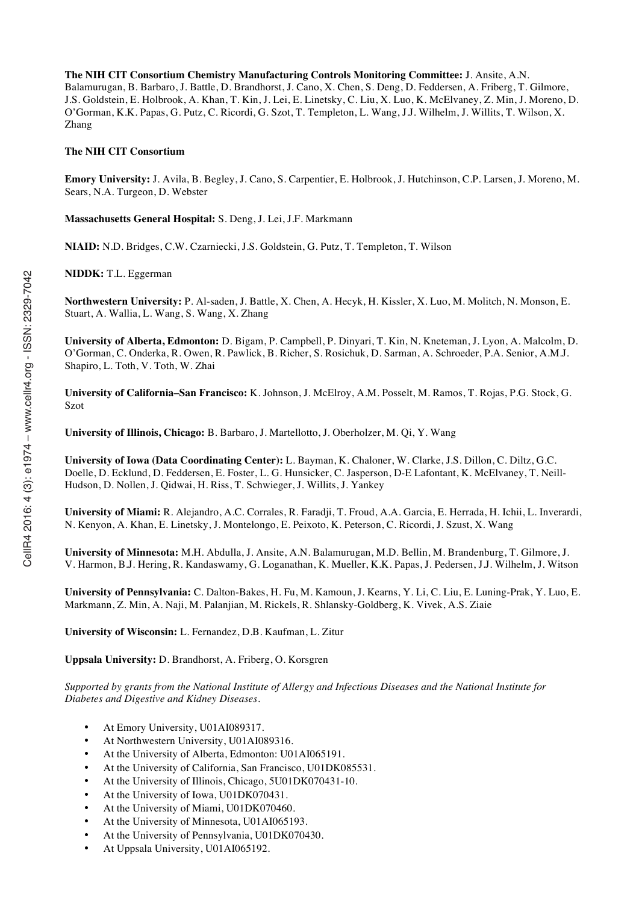**The NIH CIT Consortium Chemistry Manufacturing Controls Monitoring Committee:** J. Ansite, A.N. Balamurugan, B. Barbaro, J. Battle, D. Brandhorst, J. Cano, X. Chen, S. Deng, D. Feddersen, A. Friberg, T. Gilmore, J.S. Goldstein, E. Holbrook, A. Khan, T. Kin, J. Lei, E. Linetsky, C. Liu, X. Luo, K. McElvaney, Z. Min, J. Moreno, D. O'Gorman, K.K. Papas, G. Putz, C. Ricordi, G. Szot, T. Templeton, L. Wang, J.J. Wilhelm, J. Willits, T. Wilson, X. Zhang

# **The NIH CIT Consortium**

**Emory University:** J. Avila, B. Begley, J. Cano, S. Carpentier, E. Holbrook, J. Hutchinson, C.P. Larsen, J. Moreno, M. Sears, N.A. Turgeon, D. Webster

**Massachusetts General Hospital:** S. Deng, J. Lei, J.F. Markmann

**NIAID:** N.D. Bridges, C.W. Czarniecki, J.S. Goldstein, G. Putz, T. Templeton, T. Wilson

**NIDDK:** T.L. Eggerman

**Northwestern University:** P. Al-saden, J. Battle, X. Chen, A. Hecyk, H. Kissler, X. Luo, M. Molitch, N. Monson, E. Stuart, A. Wallia, L. Wang, S. Wang, X. Zhang

**University of Alberta, Edmonton:** D. Bigam, P. Campbell, P. Dinyari, T. Kin, N. Kneteman, J. Lyon, A. Malcolm, D. O'Gorman, C. Onderka, R. Owen, R. Pawlick, B. Richer, S. Rosichuk, D. Sarman, A. Schroeder, P.A. Senior, A.M.J. Shapiro, L. Toth, V. Toth, W. Zhai

**University of California–San Francisco:** K. Johnson, J. McElroy, A.M. Posselt, M. Ramos, T. Rojas, P.G. Stock, G. Szot

**University of Illinois, Chicago:** B. Barbaro, J. Martellotto, J. Oberholzer, M. Qi, Y. Wang

**University of Iowa (Data Coordinating Center):** L. Bayman, K. Chaloner, W. Clarke, J.S. Dillon, C. Diltz, G.C. Doelle, D. Ecklund, D. Feddersen, E. Foster, L. G. Hunsicker, C. Jasperson, D-E Lafontant, K. McElvaney, T. Neill-Hudson, D. Nollen, J. Qidwai, H. Riss, T. Schwieger, J. Willits, J. Yankey

**University of Miami:** R. Alejandro, A.C. Corrales, R. Faradji, T. Froud, A.A. Garcia, E. Herrada, H. Ichii, L. Inverardi, N. Kenyon, A. Khan, E. Linetsky, J. Montelongo, E. Peixoto, K. Peterson, C. Ricordi, J. Szust, X. Wang

**University of Minnesota:** M.H. Abdulla, J. Ansite, A.N. Balamurugan, M.D. Bellin, M. Brandenburg, T. Gilmore, J. V. Harmon, B.J. Hering, R. Kandaswamy, G. Loganathan, K. Mueller, K.K. Papas, J. Pedersen, J.J. Wilhelm, J. Witson

**University of Pennsylvania:** C. Dalton-Bakes, H. Fu, M. Kamoun, J. Kearns, Y. Li, C. Liu, E. Luning-Prak, Y. Luo, E. Markmann, Z. Min, A. Naji, M. Palanjian, M. Rickels, R. Shlansky-Goldberg, K. Vivek, A.S. Ziaie

**University of Wisconsin:** L. Fernandez, D.B. Kaufman, L. Zitur

**Uppsala University:** D. Brandhorst, A. Friberg, O. Korsgren

*Supported by grants from the National Institute of Allergy and Infectious Diseases and the National Institute for Diabetes and Digestive and Kidney Diseases.*

- At Emory University, U01AI089317.
- At Northwestern University, U01AI089316.
- At the University of Alberta, Edmonton: U01AI065191.
- At the University of California, San Francisco, U01DK085531.
- At the University of Illinois, Chicago, 5U01DK070431-10.
- At the University of Iowa, U01DK070431.
- At the University of Miami, U01DK070460.
- At the University of Minnesota, U01AI065193.
- At the University of Pennsylvania, U01DK070430.
- At Uppsala University, U01AI065192.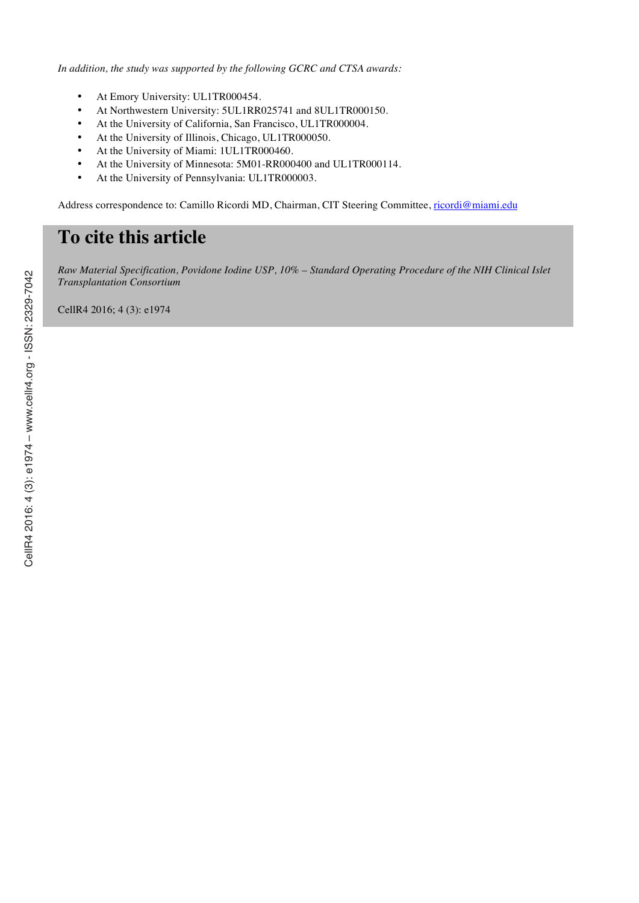*In addition, the study was supported by the following GCRC and CTSA awards:*

- At Emory University: UL1TR000454.
- At Northwestern University: 5UL1RR025741 and 8UL1TR000150.
- At the University of California, San Francisco, UL1TR000004.
- At the University of Illinois, Chicago, UL1TR000050.
- At the University of Miami: 1UL1TR000460.
- At the University of Minnesota: 5M01-RR000400 and UL1TR000114.
- At the University of Pennsylvania: UL1TR000003.

Address correspondence to: Camillo Ricordi MD, Chairman, CIT Steering Committee, ricordi@miami.edu

# **To cite this article**

*Raw Material Specification, Povidone Iodine USP, 10% – Standard Operating Procedure of the NIH Clinical Islet Transplantation Consortium*

CellR4 2016; 4 (3): e1974